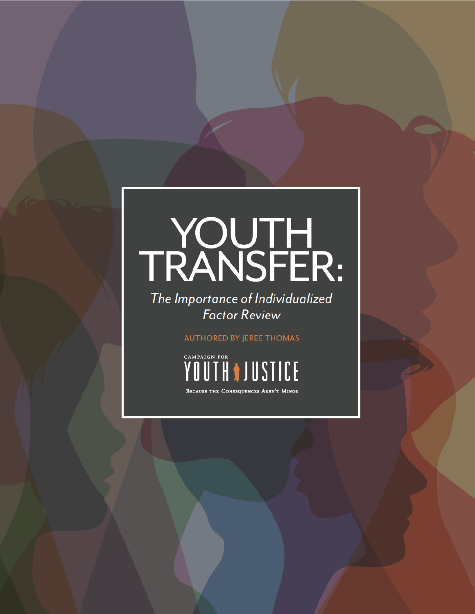# TRANSFER:

The Importance of Individualized **Factor Review** 

**AUTHORED BY JEREE THOMAS** 



BECAUSE THE CONSEQUENCES AREN'T MINOR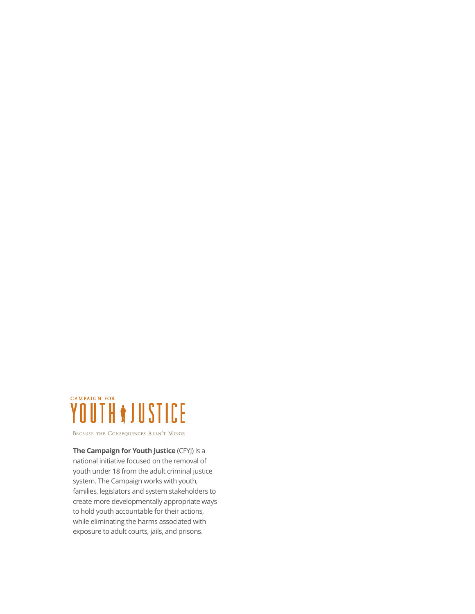

BECAUSE THE CONSEQUENCES AREN'T MINOR

**The Campaign for Youth Justice** (CFYJ) is a national initiative focused on the removal of youth under 18 from the adult criminal justice system. The Campaign works with youth, families, legislators and system stakeholders to create more developmentally appropriate ways to hold youth accountable for their actions, while eliminating the harms associated with exposure to adult courts, jails, and prisons.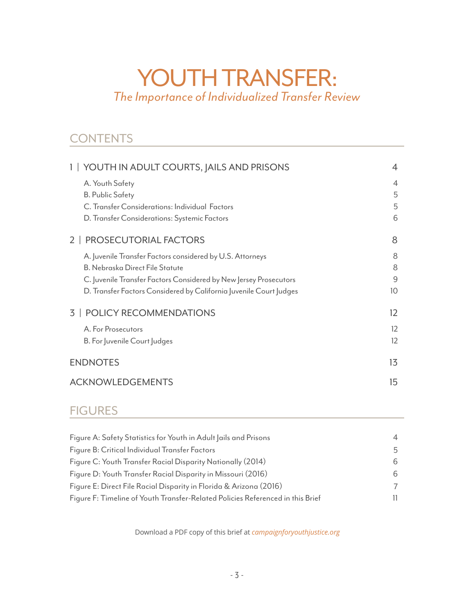# YOUTH TRANSFER: *The Importance of Individualized Transfer Review*

### **CONTENTS**

| 1   YOUTH IN ADULT COURTS, JAILS AND PRISONS                       | 4                 |
|--------------------------------------------------------------------|-------------------|
| A. Youth Safety                                                    | 4                 |
| <b>B. Public Safety</b>                                            | 5                 |
| C. Transfer Considerations: Individual Factors                     | 5                 |
| D. Transfer Considerations: Systemic Factors                       | 6                 |
| PROSECUTORIAL FACTORS<br>2 L                                       | 8                 |
| A. Juvenile Transfer Factors considered by U.S. Attorneys          | 8                 |
| <b>B. Nebraska Direct File Statute</b>                             | 8                 |
| C. Juvenile Transfer Factors Considered by New Jersey Prosecutors  | 9                 |
| D. Transfer Factors Considered by California Juvenile Court Judges | 10                |
| <b>3   POLICY RECOMMENDATIONS</b>                                  | $12 \overline{ }$ |
| A. For Prosecutors                                                 | $12 \overline{ }$ |
| B. For Juvenile Court Judges                                       | 12                |
| <b>ENDNOTES</b>                                                    | 13                |
| <b>ACKNOWLEDGEMENTS</b>                                            | 15                |

#### **FIGURES**

| Figure A: Safety Statistics for Youth in Adult Jails and Prisons               |    |
|--------------------------------------------------------------------------------|----|
| Figure B: Critical Individual Transfer Factors                                 | 5. |
| Figure C: Youth Transfer Racial Disparity Nationally (2014)                    | 6. |
| Figure D: Youth Transfer Racial Disparity in Missouri (2016)                   | 6. |
| Figure E: Direct File Racial Disparity in Florida & Arizona (2016)             |    |
| Figure F: Timeline of Youth Transfer-Related Policies Referenced in this Brief |    |
|                                                                                |    |

Download a PDF copy of this brief at *[campaignforyouthjustice.org](http://www.campaignforyouthjustice.org)*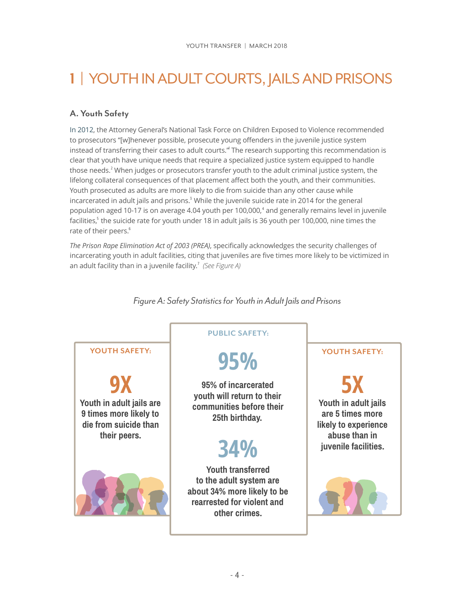# <span id="page-3-1"></span>**1** | YOUTH IN ADULT COURTS, JAILS AND PRISONS

#### <span id="page-3-2"></span>**A. Youth Safety**

<span id="page-3-4"></span><span id="page-3-3"></span>In 2012, the Attorney General's National Task Force on Children Exposed to Violence recommended to prosecutors "[w]henever possible, prosecute young offenders in the juvenile justice system instead of transferring their cases to adult courts." The research supporting this recommendation is clear that youth have unique needs that require a specialized justice system equipped to handle those needs.<sup>2</sup> When judges or prosecutors transfer youth to the adult criminal justice system, the lifelong collateral consequences of that placement affect both the youth, and their communities. Youth prosecuted as adults are more likely to die from suicide than any other cause while incarcerated in adult jails and prisons.<sup>3</sup> While the juvenile suicide rate in 2014 for the general population aged 10-17 is on average 4.04 youth per 100,000,<sup>4</sup> and generally remains level in juvenile facilities,<sup>5</sup> the suicide rate for youth under 18 in adult jails is 36 youth per 100,000[,](#page-12-5) nine times the rate of their peers.<sup>[6](#page-12-6)</sup>

<span id="page-3-8"></span><span id="page-3-7"></span>*The Prison Rape Elimination Act of 2003 (PREA)*, specifically acknowledges the security challenges of incarcerating youth in adult facilities, citing that juveniles are five times more likely to be victimized in an adult facility than in a juvenile facility.<sup>7</sup> (See Figure A)



<span id="page-3-9"></span><span id="page-3-6"></span><span id="page-3-5"></span><span id="page-3-0"></span>*Figure A: Safety Statistics for Youth in Adult Jails and Prisons*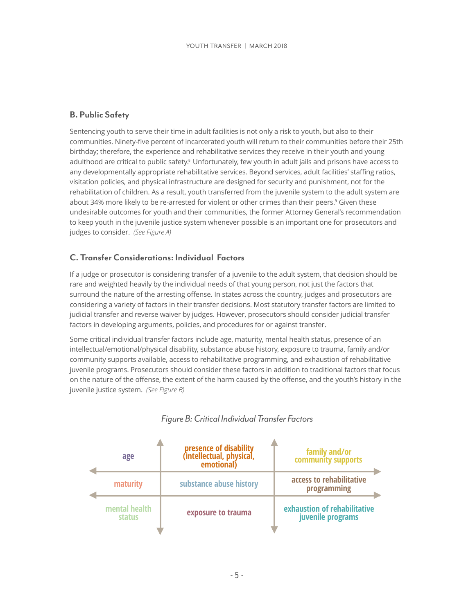#### <span id="page-4-1"></span>**B. Public Safety**

<span id="page-4-3"></span>Sentencing youth to serve their time in adult facilities is not only a risk to youth, but also to their communities. Ninety-five percent of incarcerated youth will return to their communities before their 25th birthday; therefore, the experience and rehabilitative services they receive in their youth and young adulthood are critical to public safety.<sup>8</sup> Unfortunately, few youth in adult jails and prisons have access to any developmentally appropriate rehabilitative services. Beyond services, adult facilities' staffing ratios, visitation policies, and physical infrastructure are designed for security and punishment, not for the rehabilitation of children. As a result, youth transferred from the juvenile system to the adult system are about 34% more likely to be re-arrested for violent or other crimes than their peers.<sup>9</sup> Given these undesirable outcomes for youth and their communities, the former Attorney General's recommendation to keep youth in the juvenile justice system whenever possible is an important one for prosecutors and judges to consider. *(See Figure A)* 

#### <span id="page-4-4"></span><span id="page-4-2"></span>**C. Transfer Considerations: Individual Factors**

If a judge or prosecutor is considering transfer of a juvenile to the adult system, that decision should be rare and weighted heavily by the individual needs of that young person, not just the factors that surround the nature of the arresting offense. In states across the country, judges and prosecutors are considering a variety of factors in their transfer decisions. Most statutory transfer factors are limited to judicial transfer and reverse waiver by judges. However, prosecutors should consider judicial transfer factors in developing arguments, policies, and procedures for or against transfer.

Some critical individual transfer factors include age, maturity, mental health status, presence of an intellectual/emotional/physical disability, substance abuse history, exposure to trauma, family and/or community supports available, access to rehabilitative programming, and exhaustion of rehabilitative juvenile programs. Prosecutors should consider these factors in addition to traditional factors that focus on the nature of the offense, the extent of the harm caused by the offense, and the youth's history in the juvenile justice system. *(See Figure B)* 



#### <span id="page-4-0"></span>*Figure B: Critical Individual Transfer Factors*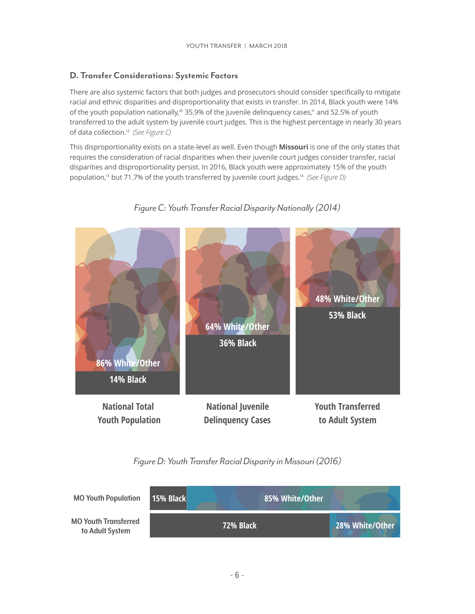#### <span id="page-5-2"></span>**D. Transfer Considerations: Systemic Factors**

There are also systemic factors that both judges and prosecutors should consider specifically to mitigate racial and ethnic disparities and disproportionality that exists in transfer. In 2014, Black youth were 14% ofthe youth population nationally,<sup> $10$ </sup> 35.9% of the juvenile delinguency cases,<sup> $11$ </sup> and 52.5% of youth transferred to the adult system by juvenile court judges. This is the highest percentage in nearly 30 years ofdata collection.<sup>12</sup> (See Figure C)

<span id="page-5-5"></span>This disproportionality exists on a state-level as well. Even though **Missouri** is one of the only states that requires the consideration of racial disparities when their juvenile court judges consider transfer, racial disparities and disproportionality persist. In 2016, Black youth were approximately 15% of the youth population,<sup>13</sup>but 71.7% of the youth transferred by juvenile court judges.<sup>14</sup> (See Figure D)



#### <span id="page-5-7"></span><span id="page-5-6"></span><span id="page-5-4"></span><span id="page-5-3"></span><span id="page-5-0"></span>*Figure C: Youth Transfer Racial Disparity Nationally (2014)*

<span id="page-5-1"></span>*Figure D: Youth Transfer Racial Disparity in Missouri (2016)*

| <b>MO Youth Population</b>                     | 15% Black | 85% White/Other |                 |
|------------------------------------------------|-----------|-----------------|-----------------|
| <b>MO Youth Transferred</b><br>to Adult System |           | 72% Black       | 28% White/Other |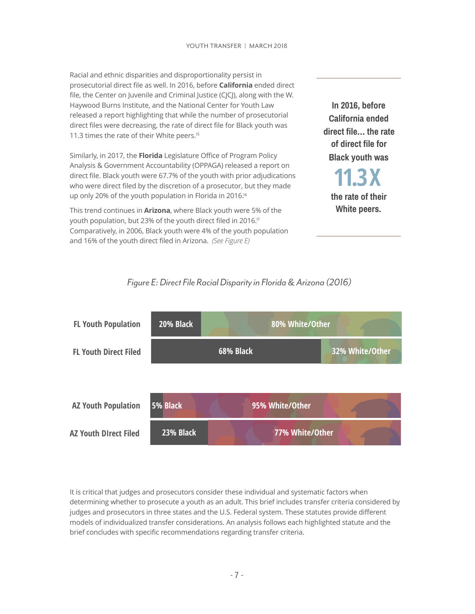Racial and ethnic disparities and disproportionality persist in prosecutorial direct file as well. In 2016, before **California** ended direct file, the Center on Juvenile and Criminal Justice (CJCJ), along with the W. Haywood Burns Institute, and the National Center for Youth Law released a report highlighting that while the number of prosecutorial direct files were decreasing, the rate of direct file for Black youth was 11.3 times the rate of their White peers.<sup>[15](#page-12-15)</sup>

<span id="page-6-1"></span>Similarly, in 2017, the **Florida** Legislature Office of Program Policy Analysis & Government Accountability (OPPAGA) released a report on direct file. Black youth were 67.7% of the youth with prior adjudications who were direct filed by the discretion of a prosecutor, but they made up only 20% of the youth population in Florida in 2016[.](#page-12-16)<sup>16</sup>

This trend continues in **Arizona**, where Black youth were 5% of the youth population, but 23% of the youth direct filed in 2016.<sup>[17](#page-13-0)</sup> Comparatively, in 2006, Black youth were 4% of the youth population and 16% of the youth direct filed in Arizona. *(See Figure E)*

**In 2016, before California ended direct file… the rate of direct file for Black youth was**

<span id="page-6-3"></span><span id="page-6-2"></span>**the rate of their White peers. 11.3X**



<span id="page-6-0"></span>

It is critical that judges and prosecutors consider these individual and systematic factors when determining whether to prosecute a youth as an adult. This brief includes transfer criteria considered by judges and prosecutors in three states and the U.S. Federal system. These statutes provide different models of individualized transfer considerations. An analysis follows each highlighted statute and the brief concludes with specific recommendations regarding transfer criteria.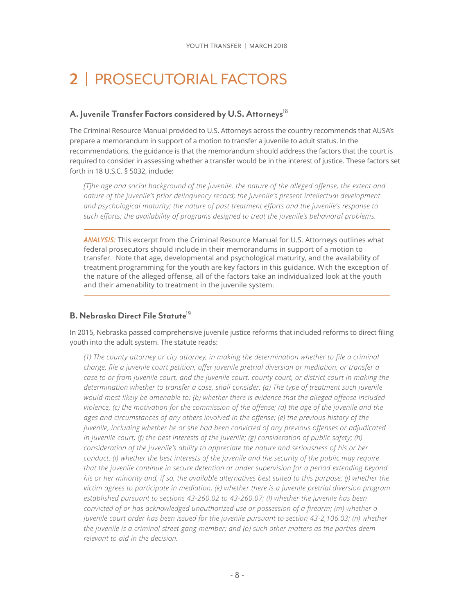# <span id="page-7-0"></span>**2** | PROSECUTORIAL FACTORS

#### <span id="page-7-1"></span>**A. Juvenile Transfer Factors considered by U.S. Attorneys**[18](#page-13-1)

The Criminal Resource Manual provided to U.S. Attorneys across the country recommends that AUSA's prepare a memorandum in support of a motion to transfer a juvenile to adult status. In the recommendations, the guidance is that the memorandum should address the factors that the court is required to consider in assessing whether a transfer would be in the interest of justice. These factors set forth in 18 U.S.C. § 5032, include:

<span id="page-7-3"></span>*[T]he age and social background of the juvenile. the nature of the alleged offense; the extent and nature of the juvenile's prior delinquency record; the juvenile's present intellectual development and psychological maturity; the nature of past treatment efforts and the juvenile's response to such efforts; the availability of programs designed to treat the juvenile's behavioral problems.* 

*ANALYSIS:* This excerpt from the Criminal Resource Manual for U.S. Attorneys outlines what federal prosecutors should include in their memorandums in support of a motion to transfer. Note that age, developmental and psychological maturity, and the availability of treatment programming for the youth are key factors in this guidance. With the exception of the nature of the alleged offense, all of the factors take an individualized look at the youth and their amenability to treatment in the juvenile system.

#### <span id="page-7-4"></span><span id="page-7-2"></span>**B. Nebraska Direct File Statute**<sup>[19](#page-13-2)</sup>

In 2015, Nebraska passed comprehensive juvenile justice reforms that included reforms to direct filing youth into the adult system. The statute reads:

*(1) The county attorney or city attorney, in making the determination whether to file a criminal charge, file a juvenile court petition, offer juvenile pretrial diversion or mediation, or transfer a case to or from juvenile court, and the juvenile court, county court, or district court in making the*  determination whether to transfer a case, shall consider: (a) The type of treatment such juvenile *would most likely be amenable to; (b) whether there is evidence that the alleged offense included violence; (c) the motivation for the commission of the offense; (d) the age of the juvenile and the ages and circumstances of any others involved in the offense; (e) the previous history of the juvenile, including whether he or she had been convicted of any previous offenses or adjudicated in juvenile court; (f) the best interests of the juvenile; (g) consideration of public safety; (h) consideration of the juvenile's ability to appreciate the nature and seriousness of his or her conduct; (i) whether the best interests of the juvenile and the security of the public may require that the juvenile continue in secure detention or under supervision for a period extending beyond his or her minority and, if so, the available alternatives best suited to this purpose; (j) whether the victim agrees to participate in mediation; (k) whether there is a juvenile pretrial diversion program established pursuant to sections [43-260.02](http://nebraskalegislature.gov/laws/statutes.php?statute=43-260.02) to [43-260.07](http://nebraskalegislature.gov/laws/statutes.php?statute=43-260.07); (l) whether the juvenile has been convicted of or has acknowledged unauthorized use or possession of a firearm; (m) whether a juvenile court order has been issued for the juvenile pursuant to section [43-2,106.03](http://nebraskalegislature.gov/laws/statutes.php?statute=43-2,106.03); (n) whether the juvenile is a criminal street gang member; and (o) such other matters as the parties deem relevant to aid in the decision.*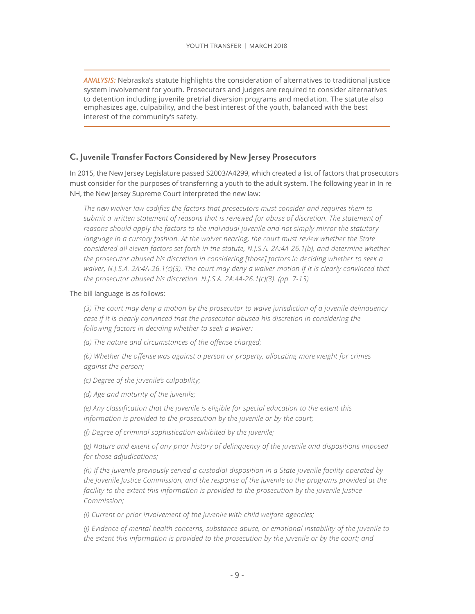*ANALYSIS:* Nebraska's statute highlights the consideration of alternatives to traditional justice system involvement for youth. Prosecutors and judges are required to consider alternatives to detention including juvenile pretrial diversion programs and mediation. The statute also emphasizes age, culpability, and the best interest of the youth, balanced with the best interest of the community's safety.

#### <span id="page-8-0"></span>**C. Juvenile Transfer Factors Considered by New Jersey Prosecutors**

In 2015, the New Jersey Legislature passed [S2003/A4299](http://www.njleg.state.nj.us/2014/Bills/PL15/89_.PDF), which created a list of factors that prosecutors must consider for the purposes of transferring a youth to the adult system. The following year in In re NH, the New Jersey Supreme Court interpreted the new law:

*The new waiver law codifies the factors that prosecutors must consider and requires them to submit a written statement of reasons that is reviewed for abuse of discretion. The statement of reasons should apply the factors to the individual juvenile and not simply mirror the statutory*  language in a cursory fashion. At the waiver hearing, the court must review whether the State *considered all eleven factors set forth in the statute, N.J.S.A. 2A:4A-26.1(b), and determine whether the prosecutor abused his discretion in considering [those] factors in deciding whether to seek a waiver, N.J.S.A. 2A:4A-26.1(c)(3). The court may deny a waiver motion if it is clearly convinced that the prosecutor abused his discretion. N.J.S.A. 2A:4A-26.1(c)(3). (pp. 7-13)* 

#### The bill language is as follows:

*(3) The court may deny a motion by the prosecutor to waive jurisdiction of a juvenile delinquency case if it is clearly convinced that the prosecutor abused his discretion in considering the following factors in deciding whether to seek a waiver:* 

*(a) The nature and circumstances of the offense charged;* 

*(b) Whether the offense was against a person or property, allocating more weight for crimes against the person;* 

- *(c) Degree of the juvenile's culpability;*
- *(d) Age and maturity of the juvenile;*

*(e) Any classification that the juvenile is eligible for special education to the extent this information is provided to the prosecution by the juvenile or by the court;* 

*(f) Degree of criminal sophistication exhibited by the juvenile;* 

*(g) Nature and extent of any prior history of delinquency of the juvenile and dispositions imposed for those adjudications;* 

*(h) If the juvenile previously served a custodial disposition in a State juvenile facility operated by the Juvenile Justice Commission, and the response of the juvenile to the programs provided at the facility to the extent this information is provided to the prosecution by the Juvenile Justice Commission;* 

*(i) Current or prior involvement of the juvenile with child welfare agencies;* 

*(j) Evidence of mental health concerns, substance abuse, or emotional instability of the juvenile to the extent this information is provided to the prosecution by the juvenile or by the court; and*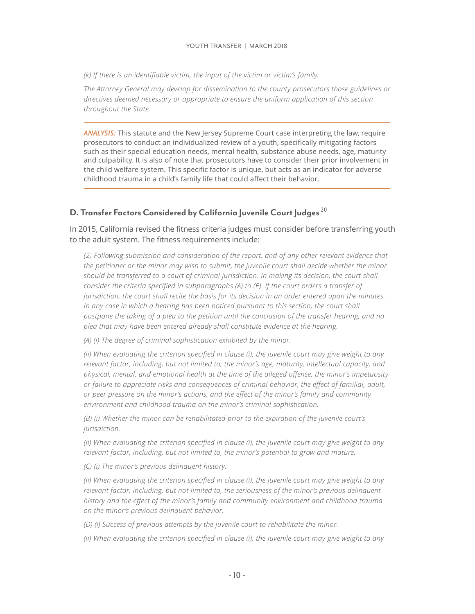*(k) If there is an identifiable victim, the input of the victim or victim's family.* 

*The Attorney General may develop for dissemination to the county prosecutors those guidelines or directives deemed necessary or appropriate to ensure the uniform application of this section throughout the State.*

<span id="page-9-1"></span>*ANALYSIS:* This statute and the New Jersey Supreme Court case interpreting the law, require prosecutors to conduct an individualized review of a youth, specifically mitigating factors such as their special education needs, mental health, substance abuse needs, age, maturity and culpability. It is also of note that prosecutors have to consider their prior involvement in the child welfare system. This specific factor is unique, but acts as an indicator for adverse childhood trauma in a child's family life that could affect their behavior.

#### <span id="page-9-0"></span>**D. Transfer Factors Considered by California Juvenile Court Judges** [20](#page-13-3)

In 2015, California revised the fitness criteria judges must consider before transferring youth to the adult system. The fitness requirements include:

*(2) Following submission and consideration of the report, and of any other relevant evidence that the petitioner or the minor may wish to submit, the juvenile court shall decide whether the minor should be transferred to a court of criminal jurisdiction. In making its decision, the court shall consider the criteria specified in subparagraphs (A) to (E). If the court orders a transfer of jurisdiction, the court shall recite the basis for its decision in an order entered upon the minutes. In any case in which a hearing has been noticed pursuant to this section, the court shall postpone the taking of a plea to the petition until the conclusion of the transfer hearing, and no plea that may have been entered already shall constitute evidence at the hearing.*

*(A) (i) The degree of criminal sophistication exhibited by the minor.* 

*(ii) When evaluating the criterion specified in clause (i), the juvenile court may give weight to any relevant factor, including, but not limited to, the minor's age, maturity, intellectual capacity, and physical, mental, and emotional health at the time of the alleged offense, the minor's impetuosity or failure to appreciate risks and consequences of criminal behavior, the effect of familial, adult, or peer pressure on the minor's actions, and the effect of the minor's family and community environment and childhood trauma on the minor's criminal sophistication.* 

*(B) (i) Whether the minor can be rehabilitated prior to the expiration of the juvenile court's jurisdiction.* 

*(ii) When evaluating the criterion specified in clause (i), the juvenile court may give weight to any relevant factor, including, but not limited to, the minor's potential to grow and mature.* 

*(C) (i) The minor's previous delinquent history.* 

*(ii) When evaluating the criterion specified in clause (i), the juvenile court may give weight to any relevant factor, including, but not limited to, the seriousness of the minor's previous delinquent history and the effect of the minor's family and community environment and childhood trauma on the minor's previous delinquent behavior.* 

*(D) (i) Success of previous attempts by the juvenile court to rehabilitate the minor.* 

*(ii) When evaluating the criterion specified in clause (i), the juvenile court may give weight to any*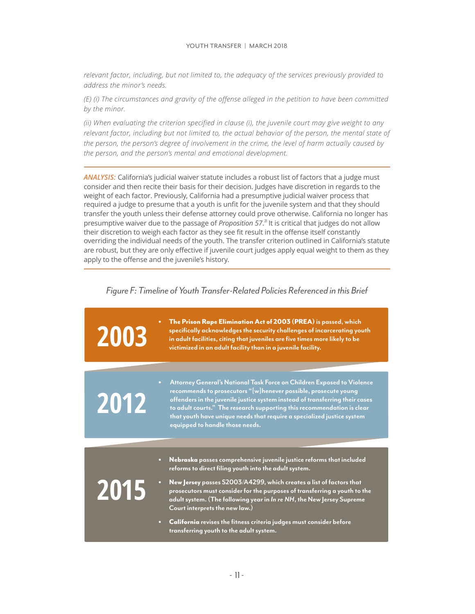*relevant factor, including, but not limited to, the adequacy of the services previously provided to address the minor's needs.* 

*(E) (i) The circumstances and gravity of the offense alleged in the petition to have been committed by the minor.* 

*(ii) When evaluating the criterion specified in clause (i), the juvenile court may give weight to any relevant factor, including but not limited to, the actual behavior of the person, the mental state of the person, the person's degree of involvement in the crime, the level of harm actually caused by the person, and the person's mental and emotional development.*

*ANALYSIS:* California's judicial waiver statute includes a robust list of factors that a judge must consider and then recite their basis for their decision. Judges have discretion in regards to the weight of each factor. Previously, California had a presumptive judicial waiver process that required a judge to presume that a youth is unfit for the juvenile system and that they should transfer the youth unless their defense attorney could prove otherwise. California no longer has presumptive waiver due to the passage of *Proposition 57*.<sup>2</sup> It is critical that judges do not allow their discretion to weigh each factor as they see fit result in the offense itself constantly overriding the individual needs of the youth. The transfer criterion outlined in California's statute are robust, but they are only effective if juvenile court judges apply equal weight to them as they apply to the offense and the juvenile's history.

<span id="page-10-1"></span><span id="page-10-0"></span>

| 2003 | The Prison Rape Elimination Act of 2003 (PREA) is passed, which<br>specifically acknowledges the security challenges of incarcerating youth<br>in adult facilities, citing that juveniles are five times more likely to be<br>victimized in an adult facility than in a juvenile facility.                                                                                                                                                                                                                                                            |
|------|-------------------------------------------------------------------------------------------------------------------------------------------------------------------------------------------------------------------------------------------------------------------------------------------------------------------------------------------------------------------------------------------------------------------------------------------------------------------------------------------------------------------------------------------------------|
| 2012 | Attorney General's National Task Force on Children Exposed to Violence<br>$\bullet$<br>recommends to prosecutors "[w]henever possible, prosecute young<br>offenders in the juvenile justice system instead of transferring their cases<br>to adult courts." The research supporting this recommendation is clear<br>that youth have unique needs that require a specialized justice system<br>equipped to handle those needs.                                                                                                                         |
| 2015 | Nebraska passes comprehensive juvenile justice reforms that included<br>$\bullet$<br>reforms to direct filing youth into the adult system.<br>New Jersey passes S2003/A4299, which creates a list of factors that<br>$\bullet$<br>prosecutors must consider for the purposes of transferring a youth to the<br>adult system. (The following year in In re NH, the New Jersey Supreme<br>Court interprets the new law.)<br>California revises the fitness criteria judges must consider before<br>$\bullet$<br>transferring youth to the adult system. |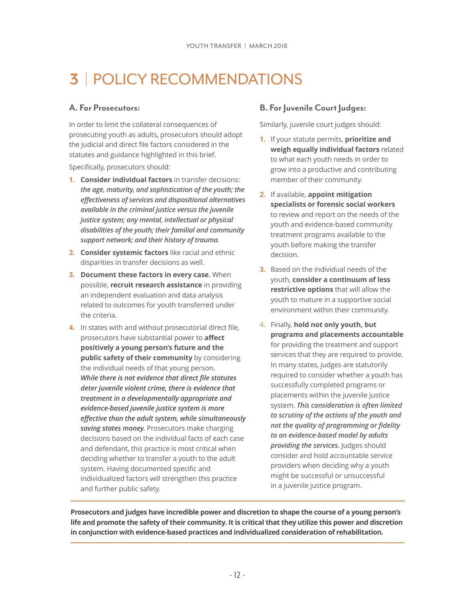# <span id="page-11-0"></span>**3** | POLICY RECOMMENDATIONS

#### <span id="page-11-1"></span>**A. For Prosecutors:**

<span id="page-11-2"></span> In order to limit the collateral consequences of prosecuting youth as adults, prosecutors should adopt the judicial and direct file factors considered in the statutes and guidance highlighted in this brief. Specifically, prosecutors should:

- **1. Consider individual factors** in transfer decisions: *the age, maturity, and sophistication of the youth; the effectiveness of services and dispositional alternatives available in the criminal justice versus the juvenile justice system; any mental, intellectual or physical disabilities of the youth; their familial and community support network; and their history of trauma.*
- **2. Consider systemic factors** like racial and ethnic disparities in transfer decisions as well.
- **3. Document these factors in every case.** When possible, **recruit research assistance** in providing an independent evaluation and data analysis related to outcomes for youth transferred under the criteria.
- **4.** In states with and without prosecutorial direct file, prosecutors have substantial power to **affect positively a young person's future and the public safety of their community** by considering the individual needs of that young person. *While there is not evidence that direct file statutes deter juvenile violent crime, there is evidence that treatment in a developmentally appropriate and evidence-based juvenile justice system is more effective than the adult system, while simultaneously saving states money.* Prosecutors make charging decisions based on the individual facts of each case and defendant, this practice is most critical when deciding whether to transfer a youth to the adult system. Having documented specific and individualized factors will strengthen this practice and further public safety.

#### **B. For Juvenile Court Judges:**

Similarly, juvenile court judges should:

- **1.** If your statute permits, **prioritize and weigh equally individual factors** related to what each youth needs in order to grow into a productive and contributing member of their community.
- **2.** If available, **appoint mitigation specialists or forensic social workers** to review and report on the needs of the youth and evidence-based community treatment programs available to the youth before making the transfer decision.
- **3.** Based on the individual needs of the youth, **consider a continuum of less restrictive options** that will allow the youth to mature in a supportive social environment within their community.
- 4. Finally, **hold not only youth, but programs and placements accountable**  for providing the treatment and support services that they are required to provide. In many states, judges are statutorily required to consider whether a youth has successfully completed programs or placements within the juvenile justice system. *This consideration is often limited to scrutiny of the actions of the youth and not the quality of programming or fidelity to an evidence-based model by adults providing the services.* Judges should consider and hold accountable service providers when deciding why a youth might be successful or unsuccessful in a juvenile justice program.

**Prosecutors and judges have incredible power and discretion to shape the course of a young person's life and promote the safety of their community. It is critical that they utilize this power and discretion in conjunction with evidence-based practices and individualized consideration of rehabilitation.**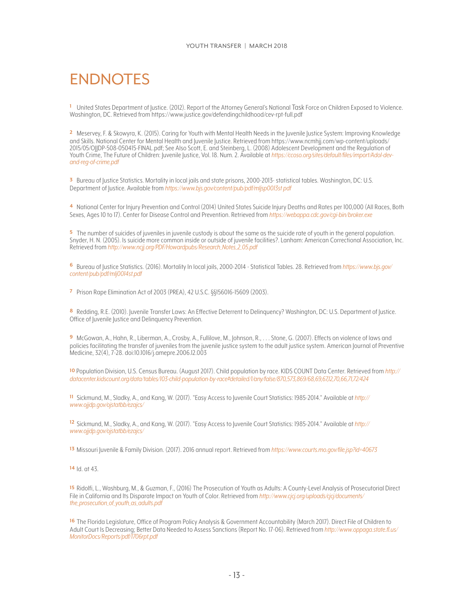## <span id="page-12-0"></span>ENDNOTES

<span id="page-12-1"></span> United States Department of Justice. (2012). Report of the Attorney General's National Task Force on Children Exposed to Violence. **[1](#page-3-3)** Washington, DC. Retrieved from<https://www.justice.gov/defendingchildhood/cev-rpt-full.pdf>

<span id="page-12-2"></span> Meservey, F. & Skowyra, K. (2015). Caring for Youth with Mental Health Needs in the Juvenile Justice System: Improving Knowledge **[2](#page-3-4)** and Skills. National Center for Mental Health and Juvenile Justice. Retrieved from [https://www.ncmhjj.com/wp-content/uploads/](https://www.ncmhjj.com/wp-content/uploads/2015/05/OJJDP-508-050415-FINAL.pdf) [2015/05/OJJDP-508-050415-FINAL.pdf;](https://www.ncmhjj.com/wp-content/uploads/2015/05/OJJDP-508-050415-FINAL.pdf) See Also Scott, E. and Steinberg, L. (2008) Adolescent Development and the Regulation of Youth Crime, The Future of Children: Juvenile Justice, Vol. 18. Num. 2. Available at *[https://ccoso.org/sites/default/files/import/Adol-dev](https://ccoso.org/sites/default/files/import/Adol-dev-and-reg-of-crime.pdf)[and-reg-of-crime.pdf](https://ccoso.org/sites/default/files/import/Adol-dev-and-reg-of-crime.pdf)*

<span id="page-12-3"></span> Bureau of Justice Statistics. Mortality in local jails and state prisons, 2000-2013- statistical tables. Washington, DC: U.S. **[3](#page-3-5)** Department of Justice. Available from *[https://www.bjs.gov/content/pub/pdf/mljsp0013st pdf](https://www.bjs.gov/content/pub/pdf/mljsp0013st.pdf)*

<span id="page-12-4"></span>**[4](#page-3-6)** National Center for Injury Prevention and Control (2014) United States Suicide Injury Deaths and Rates per 100,000 (All Races, Both Sexes, Ages 10 to 17). Center for Disease Control and Prevention. Retrieved from *<https://webappa.cdc.gov/cgi-bin/broker.exe>*

<span id="page-12-5"></span> The number of suicides of juveniles in juvenile custody is about the same as the suicide rate of youth in the general population. **[5](#page-3-7)** Snyder, H. N. (2005). Is suicide more common inside or outside of juvenile facilities?. Lanham: American Correctional Association, Inc. Retrieved from *[http://www.ncjj.org/PDF/Howardpubs/Research\\_Notes\\_2\\_05.pdf](http://www.ncjj.org/PDF/Howardpubs/Research_Notes_2_05.pdf)*

<span id="page-12-6"></span> Bureau of Justice Statistics. (2016). Mortality In local jails, 2000-2014 - Statistical Tables. 28. Retrieved from *[https://www.bjs.gov/](https://www.bjs.gov/content/pub/pdf/mlj0014st.pdf)* **[6](#page-3-8)** *[content/pub/pdf/mlj0014st.pdf](https://www.bjs.gov/content/pub/pdf/mlj0014st.pdf)*

<span id="page-12-7"></span>Prison Rape Elimination Act of 2003 (PREA), 42 U.S.C. §§156016-15609 (2003). **[7](#page-3-9)**

<span id="page-12-8"></span>**[8](#page-4-3)** Redding, R.E. (2010). Juvenile Transfer Laws: An Effective Deterrent to Delinquency? Washington, DC: U.S. Department of Justice. Office of Juvenile Justice and Delinquency Prevention.

<span id="page-12-9"></span> McGowan, A., Hahn, R., Liberman, A., Crosby, A., Fullilove, M., Johnson, R., . . . Stone, G. (2007). Effects on violence of laws and **[9](#page-4-4)** policies facilitating the transfer of juveniles from the juvenile justice system to the adult justice system. American Journal of Preventive Medicine, 32(4), 7-28. doi:10.1016/j.amepre.2006.12.003

<span id="page-12-10"></span> Population Division, U.S. Census Bureau. (August 2017). Child population by race. KIDS COUNT Data Center. Retrieved from *[http://](http://datacenter.kidscount.org/data/tables/103-child-population-by-race#detailed/1/any/false/870,573,869/68,69,67,12,70,66,71,72/424)* **[10](#page-5-3)** *[datacenter.kidscount.org/data/tables/103-child-population-by-race#detailed/1/any/false/870,573,869/68,69,67,12,70,66,71,72/424](http://datacenter.kidscount.org/data/tables/103-child-population-by-race#detailed/1/any/false/870,573,869/68,69,67,12,70,66,71,72/424)*

<span id="page-12-11"></span> Sickmund, M., Sladky, A., and Kang, W. (2017). "Easy Access to Juvenile Court Statistics: 1985-2014." Available at *[http://](http://www.ojjdp.gov/ojstatbb/ezajcs/)* **[11](#page-5-4)** *[www.ojjdp.gov/ojstatbb/ezajcs/](http://www.ojjdp.gov/ojstatbb/ezajcs/)*

<span id="page-12-12"></span> Sickmund, M., Sladky, A., and Kang, W. (2017). "Easy Access to Juvenile Court Statistics: 1985-2014." Available at *[http://](http://www.ojjdp.gov/ojstatbb/ezajcs/)* **[12](#page-5-5)** *[www.ojjdp.gov/ojstatbb/ezajcs/](http://www.ojjdp.gov/ojstatbb/ezajcs/)*

<span id="page-12-13"></span>Missouri Juvenile & Family Division. (2017). 2016 annual report. Retrieved from *<https://www.courts.mo.gov/file.jsp?id=40673>* **[13](#page-5-6)**

#### <span id="page-12-14"></span>Id. at 43. **[14](#page-5-7)**

<span id="page-12-15"></span>[15](#page-6-1) Ridolfi, L., Washburg, M., & Guzman, F., (2016) The Prosecution of Youth as Adults: A County-Level Analysis of Prosecutorial Direct File in California and Its Disparate Impact on Youth of Color. Retrieved from *[http://www.cjcj.org/uploads/cjcj/documents/](http://www.cjcj.org/uploads/cjcj/documents/the_prosecution_of_youth_as_adults.pdf) [the\\_prosecution\\_of\\_youth\\_as\\_adults.pdf](http://www.cjcj.org/uploads/cjcj/documents/the_prosecution_of_youth_as_adults.pdf)*

<span id="page-12-16"></span> The Florida Legislature, Office of Program Policy Analysis & Government Accountability (March 2017). Direct File of Children to **[16](#page-6-2)** Adult Court Is Decreasing; Better Data Needed to Assess Sanctions (Report No. 17-06). Retrieved from *[http://www.oppaga.state.fl.us/](http://www.oppaga.state.fl.us/MonitorDocs/Reports/pdf/1706rpt.pdf) [MonitorDocs/Reports/pdf/1706rpt.pdf](http://www.oppaga.state.fl.us/MonitorDocs/Reports/pdf/1706rpt.pdf)*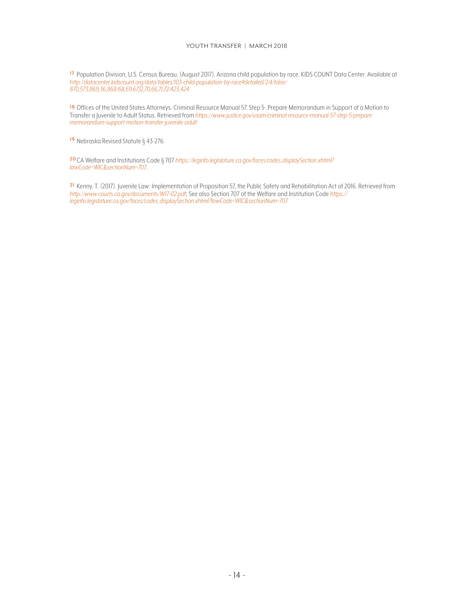#### YOUTH TRANSFER | MARCH 2018

<span id="page-13-0"></span>[17](#page-6-3) Population Division, U.S. Census Bureau. (August 2017). Arizona child population by race. KIDS COUNT Data Center. Available at *[http://datacenter.kidscount.org/data/tables/103-child-population-by-race#detailed/2/4/false/](http://datacenter.kidscount.org/data/tables/103-child-population-by-race#detailed/2/4/false/870,573,869,36,868/68,69,67,12,70,66,71,72/423,424) [870,573,869,36,868/68,69,67,12,70,66,71,72/423,424](http://datacenter.kidscount.org/data/tables/103-child-population-by-race#detailed/2/4/false/870,573,869,36,868/68,69,67,12,70,66,71,72/423,424)*

<span id="page-13-1"></span> Offices of the United States Attorneys. Criminal Resource Manual 57. Step 5- Prepare Memorandum in Support of a Motion to **[18](#page-7-3)** Transfer a Juvenile to Adult Status. Retrieved from *[https://www.justice.gov/usam/criminal-resource-manual-57-step-5-prepare](https://www.justice.gov/usam/criminal-resource-manual-57-step-5-prepare-memorandum-support-motion-transfer-juvenile-adult)[memorandum-support-motion-transfer-juvenile-adult](https://www.justice.gov/usam/criminal-resource-manual-57-step-5-prepare-memorandum-support-motion-transfer-juvenile-adult)*

<span id="page-13-2"></span><sup>[19](#page-7-4)</sup> Nebraska Revised Statute § 43-276.

<span id="page-13-3"></span> CA Welfare and Institutions Code § 707 *[https://leginfo.legislature.ca.gov/faces/codes\\_displaySection.xhtml?](https://leginfo.legislature.ca.gov/faces/codes_displaySection.xhtml?lawCode=WIC§ionNum=707)* **[20](#page-9-1)** *[lawCode=WIC&sectionNum=707](https://leginfo.legislature.ca.gov/faces/codes_displaySection.xhtml?lawCode=WIC§ionNum=707)*.

<span id="page-13-4"></span>[21](#page-10-1) Kenny, T. (2017). Juvenile Law: Implementation of Proposition 57, the Public Safety and Rehabilitation Act of 2016. Retrieved from *<http://www.courts.ca.gov/documents/W17-02.pdf>*; See also Section 707 of the Welfare and Institution Code *[https://](https://leginfo.legislature.ca.gov/faces/codes_displaySection.xhtml?lawCode=WIC§ionNum=707) [leginfo.legislature.ca.gov/faces/codes\\_displaySection.xhtml?lawCode=WIC&sectionNum=707](https://leginfo.legislature.ca.gov/faces/codes_displaySection.xhtml?lawCode=WIC§ionNum=707)*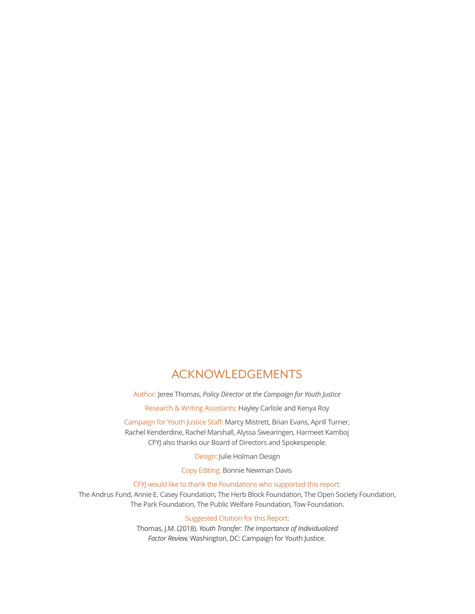#### ACKNOWLEDGEMENTS

Author: Jeree Thomas, *Policy Director at the Campaign for Youth Justice*

Research & Writing Assistants: Hayley Carlisle and Kenya Roy

Campaign for Youth Justice Staff: Marcy Mistrett, Brian Evans, Aprill Turner, Rachel Kenderdine, Rachel Marshall, Alyssa Swearingen, Harmeet Kamboj CFYJ also thanks our Board of Directors and Spokespeople.

Design: Julie Holman Design

Copy Editing: Bonnie Newman Davis

CFYJ would like to thank the Foundations who supported this report:

The Andrus Fund, Annie E. Casey Foundation, The Herb Block Foundation, The Open Society Foundation, The Park Foundation, The Public Welfare Foundation, Tow Foundation.

#### Suggested Citation for this Report:

Thomas, J.M. (2018). *Youth Transfer: The Importance of Individualized Factor Review,* Washington, DC: Campaign for Youth Justice.